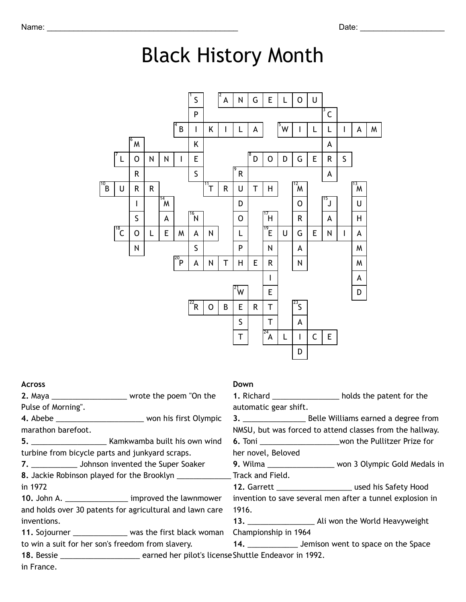## Black History Month



| <b>Across</b>                                                                                |                                                            | Down                                                     |                                                                   |  |  |
|----------------------------------------------------------------------------------------------|------------------------------------------------------------|----------------------------------------------------------|-------------------------------------------------------------------|--|--|
|                                                                                              | 2. Maya ___________________________ wrote the poem "On the |                                                          | 1. Richard _________________________ holds the patent for the     |  |  |
| Pulse of Morning".                                                                           |                                                            | automatic gear shift.                                    |                                                                   |  |  |
|                                                                                              |                                                            |                                                          |                                                                   |  |  |
| marathon barefoot.                                                                           |                                                            | NMSU, but was forced to attend classes from the hallway. |                                                                   |  |  |
|                                                                                              |                                                            |                                                          | 6. Toni ______________________________won the Pullitzer Prize for |  |  |
| turbine from bicycle parts and junkyard scraps.                                              |                                                            | her novel, Beloved                                       |                                                                   |  |  |
|                                                                                              | 7. ______________ Johnson invented the Super Soaker        |                                                          | 9. Wilma ____________________ won 3 Olympic Gold Medals in        |  |  |
| 8. Jackie Robinson played for the Brooklyn _____________________Track and Field.             |                                                            |                                                          |                                                                   |  |  |
| in 1972                                                                                      |                                                            |                                                          |                                                                   |  |  |
|                                                                                              | 10. John A. ___________________ improved the lawnmower     |                                                          | invention to save several men after a tunnel explosion in         |  |  |
| and holds over 30 patents for agricultural and lawn care                                     |                                                            | 1916.                                                    |                                                                   |  |  |
| inventions.                                                                                  |                                                            |                                                          |                                                                   |  |  |
|                                                                                              | 11. Sojourner _________________ was the first black woman  | Championship in 1964                                     |                                                                   |  |  |
| to win a suit for her son's freedom from slavery. 14. 14. Jemison went to space on the Space |                                                            |                                                          |                                                                   |  |  |
|                                                                                              |                                                            |                                                          |                                                                   |  |  |
| in France.                                                                                   |                                                            |                                                          |                                                                   |  |  |